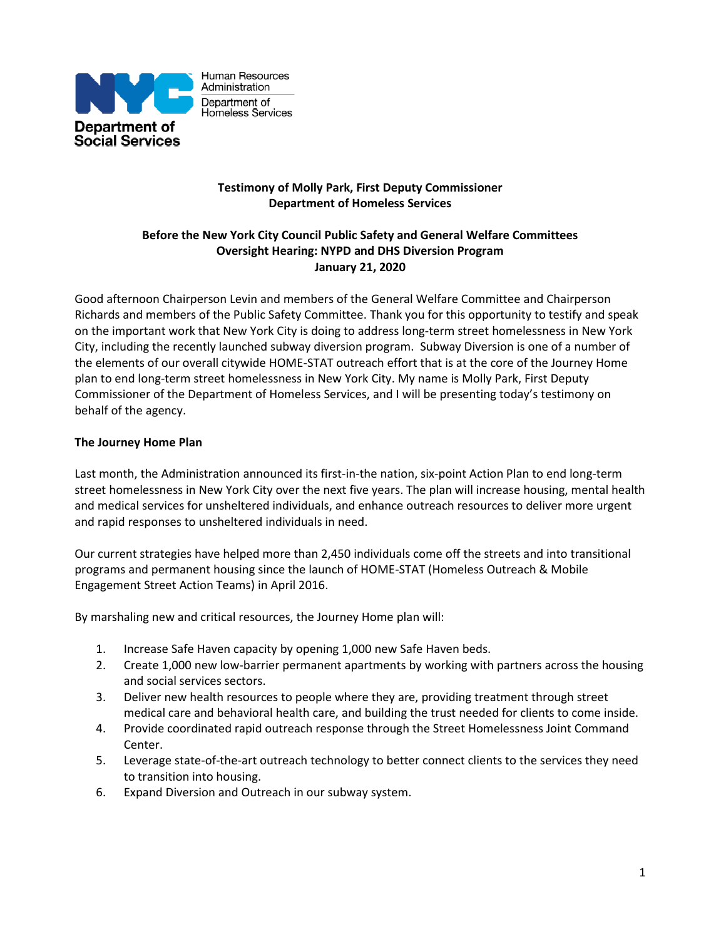

## **Testimony of Molly Park, First Deputy Commissioner Department of Homeless Services**

# **Before the New York City Council Public Safety and General Welfare Committees Oversight Hearing: NYPD and DHS Diversion Program January 21, 2020**

Good afternoon Chairperson Levin and members of the General Welfare Committee and Chairperson Richards and members of the Public Safety Committee. Thank you for this opportunity to testify and speak on the important work that New York City is doing to address long-term street homelessness in New York City, including the recently launched subway diversion program. Subway Diversion is one of a number of the elements of our overall citywide HOME-STAT outreach effort that is at the core of the Journey Home plan to end long-term street homelessness in New York City. My name is Molly Park, First Deputy Commissioner of the Department of Homeless Services, and I will be presenting today's testimony on behalf of the agency.

### **The Journey Home Plan**

Last month, the Administration announced its first-in-the nation, six-point Action Plan to end long-term street homelessness in New York City over the next five years. The plan will increase housing, mental health and medical services for unsheltered individuals, and enhance outreach resources to deliver more urgent and rapid responses to unsheltered individuals in need.

Our current strategies have helped more than 2,450 individuals come off the streets and into transitional programs and permanent housing since the launch of HOME-STAT (Homeless Outreach & Mobile Engagement Street Action Teams) in April 2016.

By marshaling new and critical resources, the Journey Home plan will:

- 1. Increase Safe Haven capacity by opening 1,000 new Safe Haven beds.
- 2. Create 1,000 new low-barrier permanent apartments by working with partners across the housing and social services sectors.
- 3. Deliver new health resources to people where they are, providing treatment through street medical care and behavioral health care, and building the trust needed for clients to come inside.
- 4. Provide coordinated rapid outreach response through the Street Homelessness Joint Command Center.
- 5. Leverage state-of-the-art outreach technology to better connect clients to the services they need to transition into housing.
- 6. Expand Diversion and Outreach in our subway system.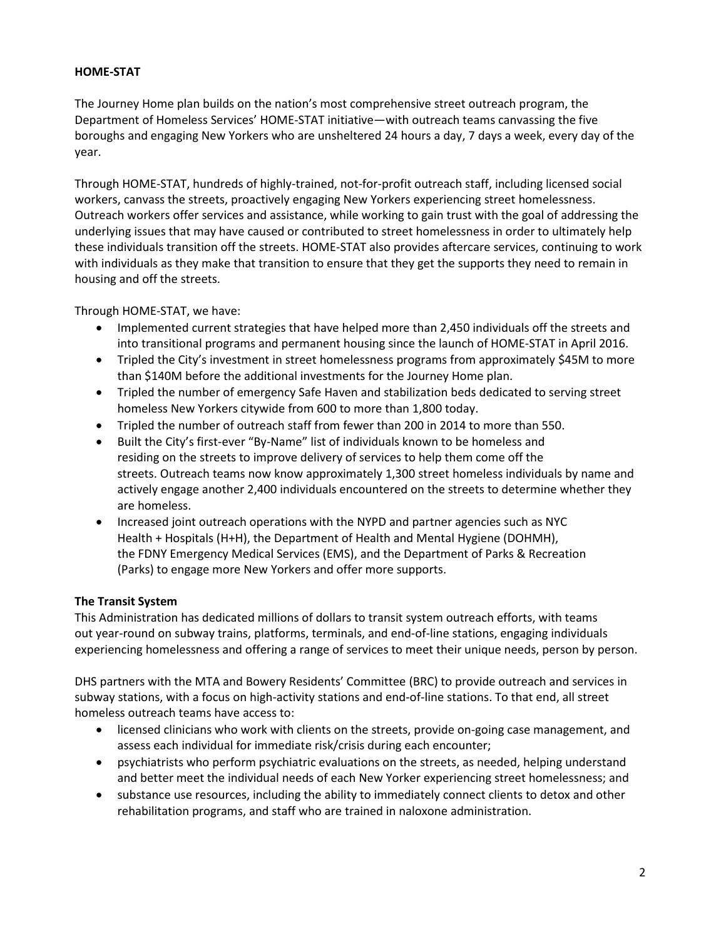## **HOME-STAT**

The Journey Home plan builds on the nation's most comprehensive street outreach program, the Department of Homeless Services' HOME-STAT initiative—with outreach teams canvassing the five boroughs and engaging New Yorkers who are unsheltered 24 hours a day, 7 days a week, every day of the year.

Through HOME-STAT, hundreds of highly-trained, not-for-profit outreach staff, including licensed social workers, canvass the streets, proactively engaging New Yorkers experiencing street homelessness. Outreach workers offer services and assistance, while working to gain trust with the goal of addressing the underlying issues that may have caused or contributed to street homelessness in order to ultimately help these individuals transition off the streets. HOME-STAT also provides aftercare services, continuing to work with individuals as they make that transition to ensure that they get the supports they need to remain in housing and off the streets.

Through HOME-STAT, we have:

- Implemented current strategies that have helped more than 2,450 individuals off the streets and into transitional programs and permanent housing since the launch of HOME-STAT in April 2016.
- Tripled the City's investment in street homelessness programs from approximately \$45M to more than \$140M before the additional investments for the Journey Home plan.
- Tripled the number of emergency Safe Haven and stabilization beds dedicated to serving street homeless New Yorkers citywide from 600 to more than 1,800 today.
- Tripled the number of outreach staff from fewer than 200 in 2014 to more than 550.
- Built the City's first-ever "By-Name" list of individuals known to be homeless and residing on the streets to improve delivery of services to help them come off the streets. Outreach teams now know approximately 1,300 street homeless individuals by name and actively engage another 2,400 individuals encountered on the streets to determine whether they are homeless.
- Increased joint outreach operations with the NYPD and partner agencies such as NYC Health + Hospitals (H+H), the Department of Health and Mental Hygiene (DOHMH), the FDNY Emergency Medical Services (EMS), and the Department of Parks & Recreation (Parks) to engage more New Yorkers and offer more supports.

#### **The Transit System**

This Administration has dedicated millions of dollars to transit system outreach efforts, with teams out year-round on subway trains, platforms, terminals, and end-of-line stations, engaging individuals experiencing homelessness and offering a range of services to meet their unique needs, person by person.

DHS partners with the MTA and Bowery Residents' Committee (BRC) to provide outreach and services in subway stations, with a focus on high-activity stations and end-of-line stations. To that end, all street homeless outreach teams have access to:

- licensed clinicians who work with clients on the streets, provide on-going case management, and assess each individual for immediate risk/crisis during each encounter;
- psychiatrists who perform psychiatric evaluations on the streets, as needed, helping understand and better meet the individual needs of each New Yorker experiencing street homelessness; and
- substance use resources, including the ability to immediately connect clients to detox and other rehabilitation programs, and staff who are trained in naloxone administration.